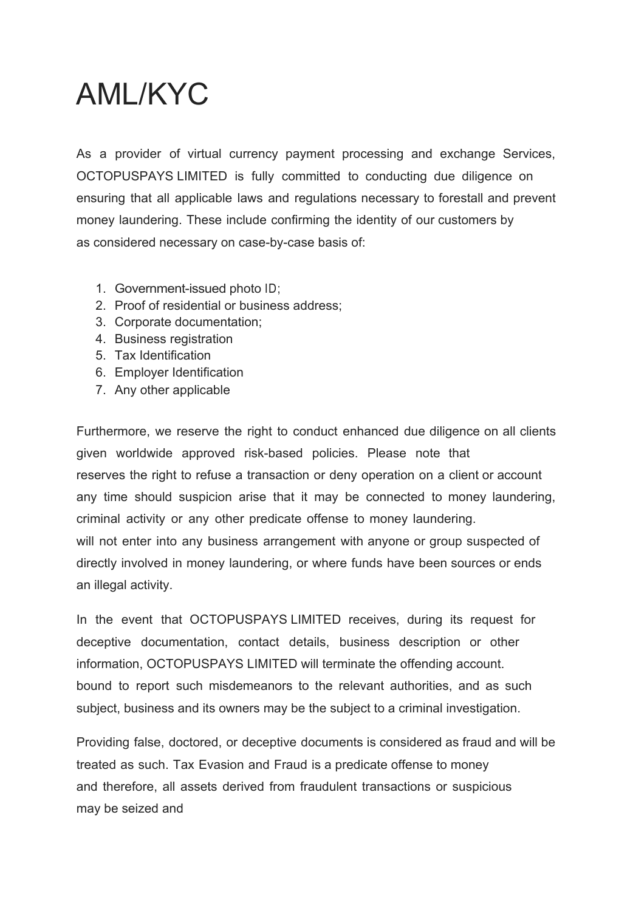## AML/KYC

As a provider of virtual currency payment processing and exchange Services, OCTOPUSPAYS LIMITED is fully committed to conducting due diligence on ensuring that all applicable laws and regulations necessary to forestall and prevent money laundering. These include confirming the identity of our customers by as considered necessary on case-by-case basis of:

- 1. Government-issued photo ID;
- 2. Proof of residential or business address;
- 3. Corporate documentation;
- 4. Business registration
- 5. Tax Identification
- 6. Employer Identification
- 7. Any other applicable

Furthermore, we reserve the right to conduct enhanced due diligence on all clients given worldwide approved risk-based policies. Please note that reserves the right to refuse a transaction or deny operation on a client or account any time should suspicion arise that it may be connected to money laundering, criminal activity or any other predicate offense to money laundering. will not enter into any business arrangement with anyone or group suspected of directly involved in money laundering, or where funds have been sources or ends an illegal activity.

In the event that OCTOPUSPAYS LIMITED receives, during its request for deceptive documentation, contact details, business description or other information, OCTOPUSPAYS LIMITED will terminate the offending account. bound to report such misdemeanors to the relevant authorities, and as such subject, business and its owners may be the subject to a criminal investigation.

Providing false, doctored, or deceptive documents is considered as fraud and will be treated as such. Tax Evasion and Fraud is a predicate offense to money and therefore, all assets derived from fraudulent transactions or suspicious may be seized and